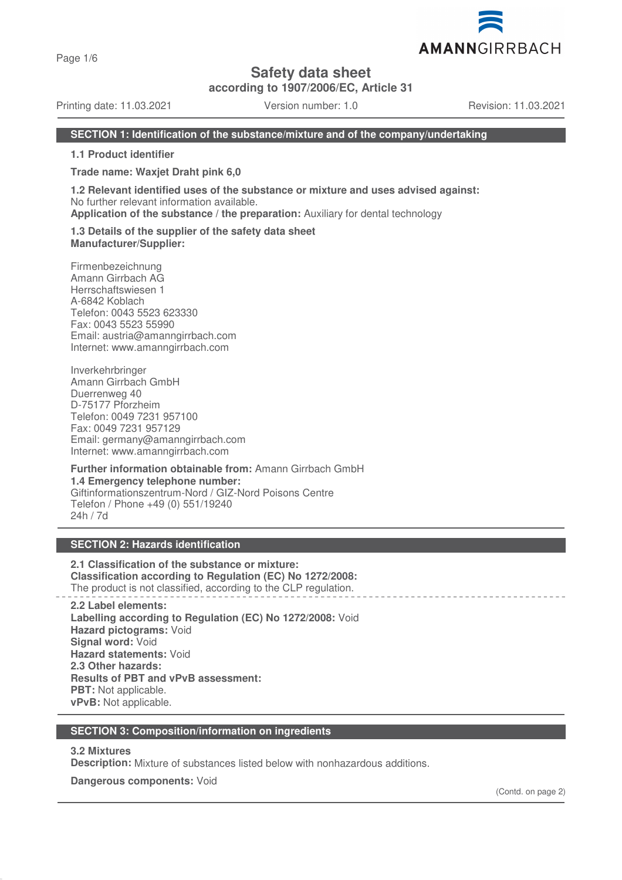Page 1/6

# **Safety data sheet**

**according to 1907/2006/EC, Article 31**

Printing date: 11.03.2021 Version number: 1.0 Revision: 11.03.2021

### **SECTION 1: Identification of the substance/mixture and of the company/undertaking**

**1.1 Product identifier**

**Trade name: Waxjet Draht pink 6,0**

**1.2 Relevant identified uses of the substance or mixture and uses advised against:** No further relevant information available.

**Application of the substance / the preparation:** Auxiliary for dental technology

**1.3 Details of the supplier of the safety data sheet Manufacturer/Supplier:**

Firmenbezeichnung Amann Girrbach AG Herrschaftswiesen 1 A-6842 Koblach Telefon: 0043 5523 623330 Fax: 0043 5523 55990 Email: austria@amanngirrbach.com Internet: www.amanngirrbach.com

Inverkehrbringer Amann Girrbach GmbH Duerrenweg 40 D-75177 Pforzheim Telefon: 0049 7231 957100 Fax: 0049 7231 957129 Email: germany@amanngirrbach.com Internet: www.amanngirrbach.com

**Further information obtainable from:** Amann Girrbach GmbH **1.4 Emergency telephone number:** Giftinformationszentrum-Nord / GIZ-Nord Poisons Centre Telefon / Phone +49 (0) 551/19240 24h / 7d

### **SECTION 2: Hazards identification**

**2.1 Classification of the substance or mixture: Classification according to Regulation (EC) No 1272/2008:** The product is not classified, according to the CLP regulation.

**2.2 Label elements: Labelling according to Regulation (EC) No 1272/2008:** Void **Hazard pictograms:** Void **Signal word:** Void **Hazard statements:** Void **2.3 Other hazards: Results of PBT and vPvB assessment: PBT:** Not applicable. **vPvB:** Not applicable.

#### **SECTION 3: Composition/information on ingredients**

## **3.2 Mixtures**

**Description:** Mixture of substances listed below with nonhazardous additions.

**Dangerous components:** Void

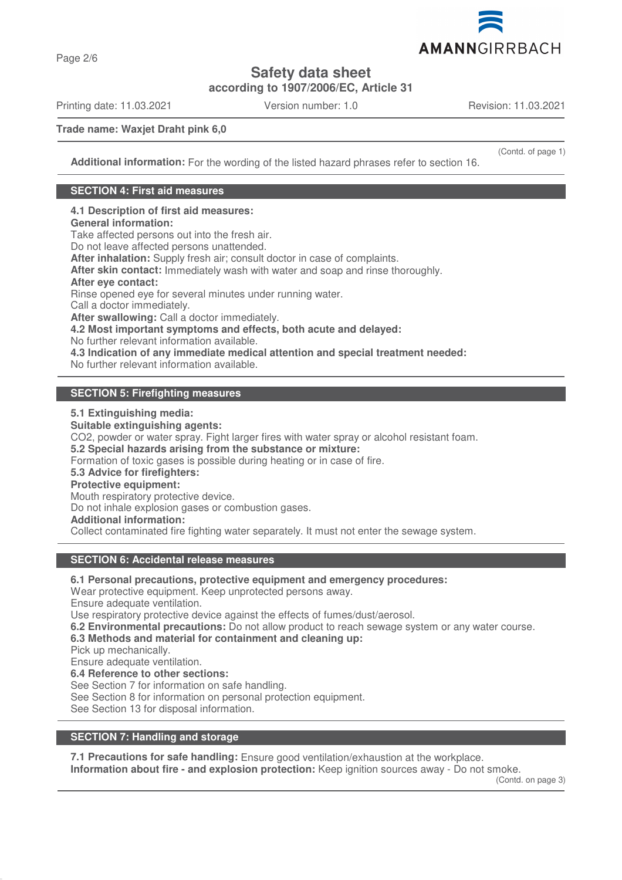

**Safety data sheet**

**according to 1907/2006/EC, Article 31**

Printing date: 11.03.2021 Version number: 1.0 Revision: 11.03.2021

(Contd. of page 1)

**Trade name: Waxjet Draht pink 6,0**

**Additional information:** For the wording of the listed hazard phrases refer to section 16.

### **SECTION 4: First aid measures**

**4.1 Description of first aid measures: General information:** Take affected persons out into the fresh air. Do not leave affected persons unattended. **After inhalation:** Supply fresh air; consult doctor in case of complaints. **After skin contact:** Immediately wash with water and soap and rinse thoroughly. **After eye contact:** Rinse opened eye for several minutes under running water. Call a doctor immediately. **After swallowing:** Call a doctor immediately. **4.2 Most important symptoms and effects, both acute and delayed:** No further relevant information available. **4.3 Indication of any immediate medical attention and special treatment needed:** No further relevant information available.

## **SECTION 5: Firefighting measures**

**5.1 Extinguishing media:**

**Suitable extinguishing agents:** CO2, powder or water spray. Fight larger fires with water spray or alcohol resistant foam. **5.2 Special hazards arising from the substance or mixture:** Formation of toxic gases is possible during heating or in case of fire. **5.3 Advice for firefighters: Protective equipment:** Mouth respiratory protective device. Do not inhale explosion gases or combustion gases. **Additional information:** Collect contaminated fire fighting water separately. It must not enter the sewage system.

#### **SECTION 6: Accidental release measures**

**6.1 Personal precautions, protective equipment and emergency procedures:**

Wear protective equipment. Keep unprotected persons away.

Ensure adequate ventilation.

Use respiratory protective device against the effects of fumes/dust/aerosol.

**6.2 Environmental precautions:** Do not allow product to reach sewage system or any water course.

**6.3 Methods and material for containment and cleaning up:**

Pick up mechanically.

Ensure adequate ventilation.

**6.4 Reference to other sections:**

See Section 7 for information on safe handling.

See Section 8 for information on personal protection equipment.

See Section 13 for disposal information.

## **SECTION 7: Handling and storage**

**7.1 Precautions for safe handling:** Ensure good ventilation/exhaustion at the workplace. **Information about fire - and explosion protection:** Keep ignition sources away - Do not smoke.

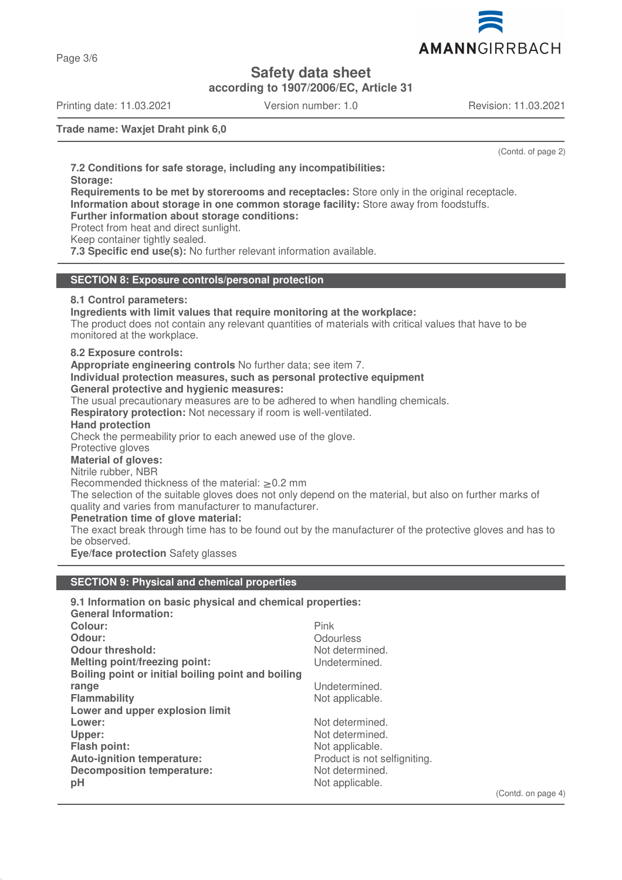

Page 3/6

# **Safety data sheet**

**according to 1907/2006/EC, Article 31**

Printing date: 11.03.2021 Version number: 1.0 Revision: 11.03.2021

**Trade name: Waxjet Draht pink 6,0**

(Contd. of page 2)

**7.2 Conditions for safe storage, including any incompatibilities: Storage: Requirements to be met by storerooms and receptacles:** Store only in the original receptacle. **Information about storage in one common storage facility:** Store away from foodstuffs. **Further information about storage conditions:** Protect from heat and direct sunlight. Keep container tightly sealed. **7.3 Specific end use(s):** No further relevant information available. **SECTION 8: Exposure controls/personal protection 8.1 Control parameters: Ingredients with limit values that require monitoring at the workplace:** The product does not contain any relevant quantities of materials with critical values that have to be monitored at the workplace. **8.2 Exposure controls: Appropriate engineering controls** No further data; see item 7. **Individual protection measures, such as personal protective equipment General protective and hygienic measures:** The usual precautionary measures are to be adhered to when handling chemicals. **Respiratory protection:** Not necessary if room is well-ventilated. **Hand protection** Check the permeability prior to each anewed use of the glove. Protective gloves **Material of gloves:** Nitrile rubber, NBR Recommended thickness of the material:  $\geq 0.2$  mm The selection of the suitable gloves does not only depend on the material, but also on further marks of quality and varies from manufacturer to manufacturer. **Penetration time of glove material:** The exact break through time has to be found out by the manufacturer of the protective gloves and has to be observed. **Eye/face protection** Safety glasses

# **SECTION 9: Physical and chemical properties**

| 9.1 Information on basic physical and chemical properties: |                              |
|------------------------------------------------------------|------------------------------|
| <b>General Information:</b>                                |                              |
| Colour:                                                    | <b>Pink</b>                  |
| Odour:                                                     | Odourless                    |
| <b>Odour threshold:</b>                                    | Not determined.              |
| <b>Melting point/freezing point:</b>                       | Undetermined.                |
| Boiling point or initial boiling point and boiling         |                              |
| range                                                      | Undetermined.                |
| <b>Flammability</b>                                        | Not applicable.              |
| Lower and upper explosion limit                            |                              |
| Lower:                                                     | Not determined.              |
| Upper:                                                     | Not determined.              |
| <b>Flash point:</b>                                        | Not applicable.              |
| Auto-ignition temperature:                                 | Product is not selfigniting. |
| Decomposition temperature:                                 | Not determined.              |
| pH                                                         | Not applicable.              |
|                                                            | (n)                          |

(Contd. on page 4)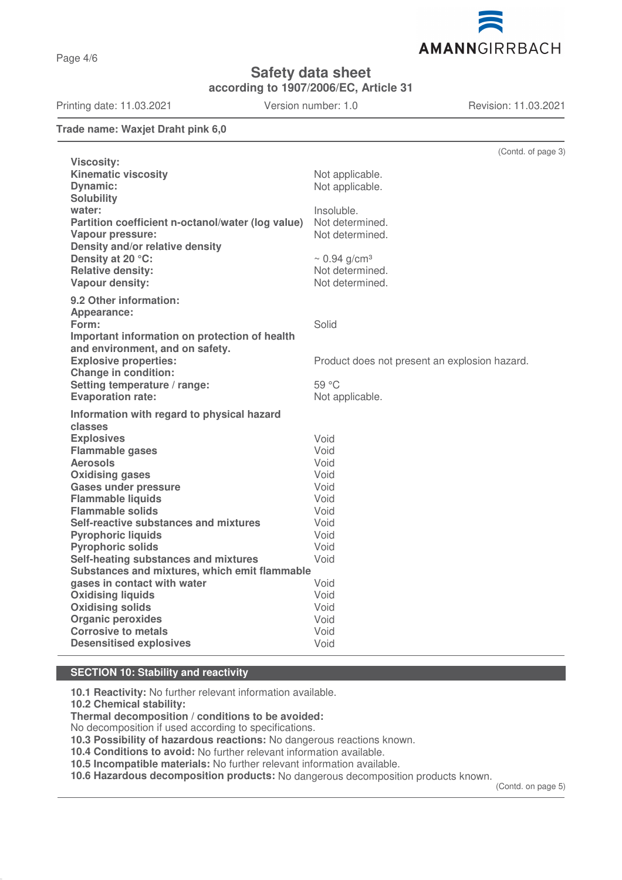Page 4/6

# **Safety data sheet**

**according to 1907/2006/EC, Article 31**

Printing date: 11.03.2021 Version number: 1.0 Revision: 11.03.2021

### **Trade name: Waxjet Draht pink 6,0**

| <b>Viscosity:</b><br><b>Kinematic viscosity</b><br>Not applicable.<br><b>Dynamic:</b><br>Not applicable.<br><b>Solubility</b><br>water:<br>Insoluble.<br>Partition coefficient n-octanol/water (log value)<br>Not determined.<br>Not determined.<br>Vapour pressure:<br>Density and/or relative density<br>Density at 20 °C:<br>$\sim 0.94$ g/cm <sup>3</sup><br><b>Relative density:</b><br>Not determined.<br>Vapour density:<br>Not determined.<br>9.2 Other information:<br>Appearance:<br>Solid<br>Form:<br>Important information on protection of health<br>and environment, and on safety.<br><b>Explosive properties:</b><br>Product does not present an explosion hazard.<br><b>Change in condition:</b><br>Setting temperature / range:<br>59 °C<br><b>Evaporation rate:</b><br>Not applicable. | (Contd. of page 3) |
|-----------------------------------------------------------------------------------------------------------------------------------------------------------------------------------------------------------------------------------------------------------------------------------------------------------------------------------------------------------------------------------------------------------------------------------------------------------------------------------------------------------------------------------------------------------------------------------------------------------------------------------------------------------------------------------------------------------------------------------------------------------------------------------------------------------|--------------------|
|                                                                                                                                                                                                                                                                                                                                                                                                                                                                                                                                                                                                                                                                                                                                                                                                           |                    |
|                                                                                                                                                                                                                                                                                                                                                                                                                                                                                                                                                                                                                                                                                                                                                                                                           |                    |
|                                                                                                                                                                                                                                                                                                                                                                                                                                                                                                                                                                                                                                                                                                                                                                                                           |                    |
|                                                                                                                                                                                                                                                                                                                                                                                                                                                                                                                                                                                                                                                                                                                                                                                                           |                    |
|                                                                                                                                                                                                                                                                                                                                                                                                                                                                                                                                                                                                                                                                                                                                                                                                           |                    |
|                                                                                                                                                                                                                                                                                                                                                                                                                                                                                                                                                                                                                                                                                                                                                                                                           |                    |
|                                                                                                                                                                                                                                                                                                                                                                                                                                                                                                                                                                                                                                                                                                                                                                                                           |                    |
|                                                                                                                                                                                                                                                                                                                                                                                                                                                                                                                                                                                                                                                                                                                                                                                                           |                    |
|                                                                                                                                                                                                                                                                                                                                                                                                                                                                                                                                                                                                                                                                                                                                                                                                           |                    |
|                                                                                                                                                                                                                                                                                                                                                                                                                                                                                                                                                                                                                                                                                                                                                                                                           |                    |
|                                                                                                                                                                                                                                                                                                                                                                                                                                                                                                                                                                                                                                                                                                                                                                                                           |                    |
|                                                                                                                                                                                                                                                                                                                                                                                                                                                                                                                                                                                                                                                                                                                                                                                                           |                    |
|                                                                                                                                                                                                                                                                                                                                                                                                                                                                                                                                                                                                                                                                                                                                                                                                           |                    |
|                                                                                                                                                                                                                                                                                                                                                                                                                                                                                                                                                                                                                                                                                                                                                                                                           |                    |
|                                                                                                                                                                                                                                                                                                                                                                                                                                                                                                                                                                                                                                                                                                                                                                                                           |                    |
|                                                                                                                                                                                                                                                                                                                                                                                                                                                                                                                                                                                                                                                                                                                                                                                                           |                    |
|                                                                                                                                                                                                                                                                                                                                                                                                                                                                                                                                                                                                                                                                                                                                                                                                           |                    |
|                                                                                                                                                                                                                                                                                                                                                                                                                                                                                                                                                                                                                                                                                                                                                                                                           |                    |
|                                                                                                                                                                                                                                                                                                                                                                                                                                                                                                                                                                                                                                                                                                                                                                                                           |                    |
|                                                                                                                                                                                                                                                                                                                                                                                                                                                                                                                                                                                                                                                                                                                                                                                                           |                    |
| Information with regard to physical hazard                                                                                                                                                                                                                                                                                                                                                                                                                                                                                                                                                                                                                                                                                                                                                                |                    |
| classes                                                                                                                                                                                                                                                                                                                                                                                                                                                                                                                                                                                                                                                                                                                                                                                                   |                    |
| Void<br><b>Explosives</b>                                                                                                                                                                                                                                                                                                                                                                                                                                                                                                                                                                                                                                                                                                                                                                                 |                    |
| Void<br><b>Flammable gases</b>                                                                                                                                                                                                                                                                                                                                                                                                                                                                                                                                                                                                                                                                                                                                                                            |                    |
| Void<br><b>Aerosols</b>                                                                                                                                                                                                                                                                                                                                                                                                                                                                                                                                                                                                                                                                                                                                                                                   |                    |
| <b>Oxidising gases</b><br>Void                                                                                                                                                                                                                                                                                                                                                                                                                                                                                                                                                                                                                                                                                                                                                                            |                    |
| Void<br><b>Gases under pressure</b>                                                                                                                                                                                                                                                                                                                                                                                                                                                                                                                                                                                                                                                                                                                                                                       |                    |
| <b>Flammable liquids</b><br>Void                                                                                                                                                                                                                                                                                                                                                                                                                                                                                                                                                                                                                                                                                                                                                                          |                    |
| <b>Flammable solids</b><br>Void                                                                                                                                                                                                                                                                                                                                                                                                                                                                                                                                                                                                                                                                                                                                                                           |                    |
| Self-reactive substances and mixtures<br>Void                                                                                                                                                                                                                                                                                                                                                                                                                                                                                                                                                                                                                                                                                                                                                             |                    |
| Void<br><b>Pyrophoric liquids</b>                                                                                                                                                                                                                                                                                                                                                                                                                                                                                                                                                                                                                                                                                                                                                                         |                    |
| <b>Pyrophoric solids</b><br>Void                                                                                                                                                                                                                                                                                                                                                                                                                                                                                                                                                                                                                                                                                                                                                                          |                    |
| Self-heating substances and mixtures<br>Void                                                                                                                                                                                                                                                                                                                                                                                                                                                                                                                                                                                                                                                                                                                                                              |                    |
| Substances and mixtures, which emit flammable                                                                                                                                                                                                                                                                                                                                                                                                                                                                                                                                                                                                                                                                                                                                                             |                    |
| gases in contact with water<br>Void                                                                                                                                                                                                                                                                                                                                                                                                                                                                                                                                                                                                                                                                                                                                                                       |                    |
| Void<br><b>Oxidising liquids</b>                                                                                                                                                                                                                                                                                                                                                                                                                                                                                                                                                                                                                                                                                                                                                                          |                    |
| <b>Oxidising solids</b><br>Void                                                                                                                                                                                                                                                                                                                                                                                                                                                                                                                                                                                                                                                                                                                                                                           |                    |
| <b>Organic peroxides</b><br>Void                                                                                                                                                                                                                                                                                                                                                                                                                                                                                                                                                                                                                                                                                                                                                                          |                    |
| <b>Corrosive to metals</b><br>Void                                                                                                                                                                                                                                                                                                                                                                                                                                                                                                                                                                                                                                                                                                                                                                        |                    |
| <b>Desensitised explosives</b><br>Void                                                                                                                                                                                                                                                                                                                                                                                                                                                                                                                                                                                                                                                                                                                                                                    |                    |

## **SECTION 10: Stability and reactivity**

**10.1 Reactivity:** No further relevant information available.

**10.2 Chemical stability:**

**Thermal decomposition / conditions to be avoided:**

No decomposition if used according to specifications.

**10.3 Possibility of hazardous reactions:** No dangerous reactions known.

**10.4 Conditions to avoid:** No further relevant information available.

**10.5 Incompatible materials:** No further relevant information available.

**10.6 Hazardous decomposition products:** No dangerous decomposition products known.

(Contd. on page 5)

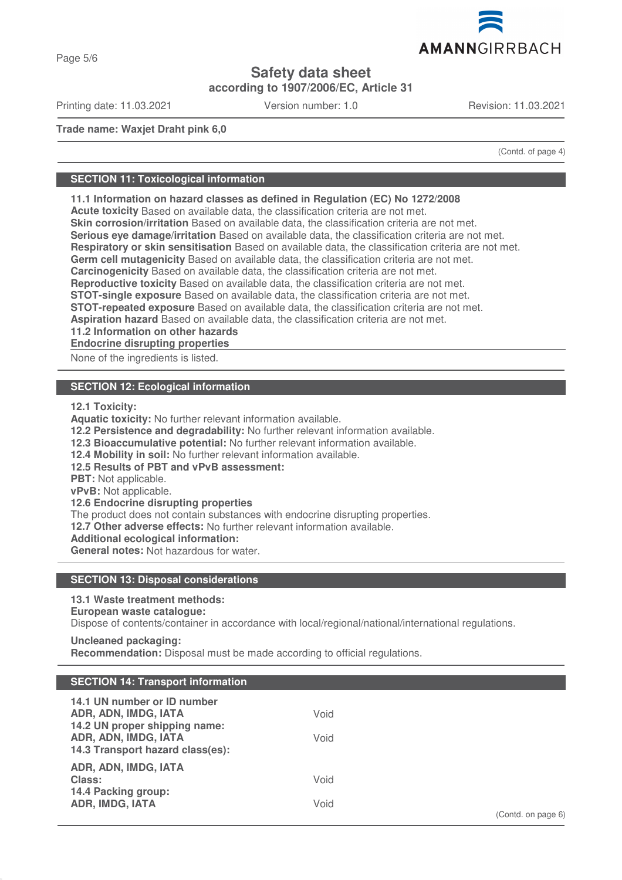# **Safety data sheet**

**according to 1907/2006/EC, Article 31**

Printing date: 11.03.2021 Version number: 1.0 Revision: 11.03.2021

AMANNGIRRBACH

**Trade name: Waxjet Draht pink 6,0**

(Contd. of page 4)

### **SECTION 11: Toxicological information**

**11.1 Information on hazard classes as defined in Regulation (EC) No 1272/2008**

**Acute toxicity** Based on available data, the classification criteria are not met.

**Skin corrosion/irritation** Based on available data, the classification criteria are not met.

**Serious eye damage/irritation** Based on available data, the classification criteria are not met.

**Respiratory or skin sensitisation** Based on available data, the classification criteria are not met.

**Germ cell mutagenicity** Based on available data, the classification criteria are not met.

**Carcinogenicity** Based on available data, the classification criteria are not met.

**Reproductive toxicity** Based on available data, the classification criteria are not met.

**STOT-single exposure** Based on available data, the classification criteria are not met.

**STOT-repeated exposure** Based on available data, the classification criteria are not met.

**Aspiration hazard** Based on available data, the classification criteria are not met.

**11.2 Information on other hazards**

**Endocrine disrupting properties** 

None of the ingredients is listed.

### **SECTION 12: Ecological information**

**12.1 Toxicity:**

**Aquatic toxicity:** No further relevant information available. **12.2 Persistence and degradability:** No further relevant information available. **12.3 Bioaccumulative potential:** No further relevant information available. **12.4 Mobility in soil:** No further relevant information available. **12.5 Results of PBT and vPvB assessment: PBT:** Not applicable. **vPvB:** Not applicable. **12.6 Endocrine disrupting properties** The product does not contain substances with endocrine disrupting properties. **12.7 Other adverse effects:** No further relevant information available. **Additional ecological information:**

**General notes:** Not hazardous for water.

## **SECTION 13: Disposal considerations**

# **13.1 Waste treatment methods:**

# **European waste catalogue:**

Dispose of contents/container in accordance with local/regional/national/international regulations.

#### **Uncleaned packaging:**

**Recommendation:** Disposal must be made according to official regulations.

## **SECTION 14: Transport information**

| ADR, ADN, IMDG, IATA                                             |  |
|------------------------------------------------------------------|--|
| Class:<br>Void<br>14.4 Packing group:<br>Void<br>ADR, IMDG, IATA |  |